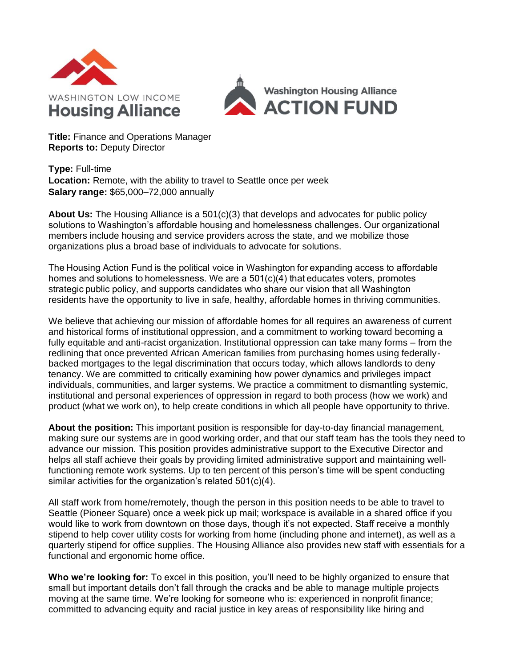



**Title:** Finance and Operations Manager **Reports to:** Deputy Director

**Type:** Full-time **Location:** Remote, with the ability to travel to Seattle once per week **Salary range:** \$65,000–72,000 annually

**About Us:** The Housing Alliance is a 501(c)(3) that develops and advocates for public policy solutions to Washington's affordable housing and homelessness challenges. Our organizational members include housing and service providers across the state, and we mobilize those organizations plus a broad base of individuals to advocate for solutions.

The Housing Action Fund is the political voice in Washington for expanding access to affordable homes and solutions to homelessness. We are a 501(c)(4) that educates voters, promotes strategic public policy, and supports candidates who share our vision that all Washington residents have the opportunity to live in safe, healthy, affordable homes in thriving communities.

We believe that achieving our mission of affordable homes for all requires an awareness of current and historical forms of institutional oppression, and a commitment to working toward becoming a fully equitable and anti-racist organization. Institutional oppression can take many forms – from the redlining that once prevented African American families from purchasing homes using federallybacked mortgages to the legal discrimination that occurs today, which allows landlords to deny tenancy. We are committed to critically examining how power dynamics and privileges impact individuals, communities, and larger systems. We practice a commitment to dismantling systemic, institutional and personal experiences of oppression in regard to both process (how we work) and product (what we work on), to help create conditions in which all people have opportunity to thrive.

**About the position:** This important position is responsible for day-to-day financial management, making sure our systems are in good working order, and that our staff team has the tools they need to advance our mission. This position provides administrative support to the Executive Director and helps all staff achieve their goals by providing limited administrative support and maintaining wellfunctioning remote work systems. Up to ten percent of this person's time will be spent conducting similar activities for the organization's related 501(c)(4).

All staff work from home/remotely, though the person in this position needs to be able to travel to Seattle (Pioneer Square) once a week pick up mail; workspace is available in a shared office if you would like to work from downtown on those days, though it's not expected. Staff receive a monthly stipend to help cover utility costs for working from home (including phone and internet), as well as a quarterly stipend for office supplies. The Housing Alliance also provides new staff with essentials for a functional and ergonomic home office.

**Who we're looking for:** To excel in this position, you'll need to be highly organized to ensure that small but important details don't fall through the cracks and be able to manage multiple projects moving at the same time. We're looking for someone who is: experienced in nonprofit finance; committed to advancing equity and racial justice in key areas of responsibility like hiring and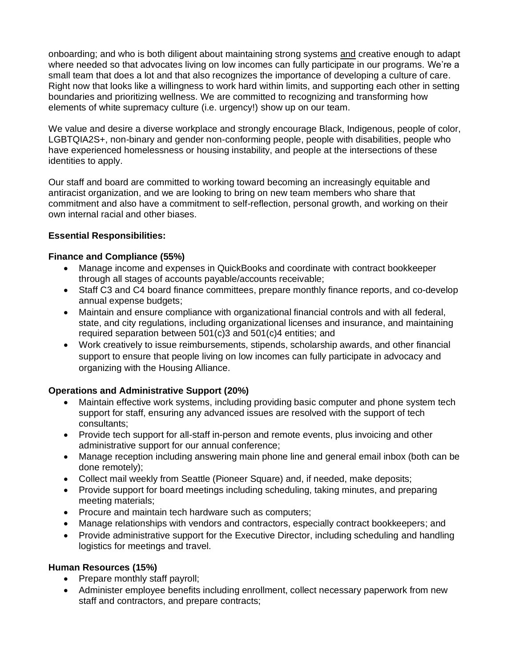onboarding; and who is both diligent about maintaining strong systems and creative enough to adapt where needed so that advocates living on low incomes can fully participate in our programs. We're a small team that does a lot and that also recognizes the importance of developing a culture of care. Right now that looks like a willingness to work hard within limits, and supporting each other in setting boundaries and prioritizing wellness. We are committed to recognizing and transforming how elements of white supremacy culture (i.e. urgency!) show up on our team.

We value and desire a diverse workplace and strongly encourage Black, Indigenous, people of color, LGBTQIA2S+, non-binary and gender non-conforming people, people with disabilities, people who have experienced homelessness or housing instability, and people at the intersections of these identities to apply.

Our staff and board are committed to working toward becoming an increasingly equitable and antiracist organization, and we are looking to bring on new team members who share that commitment and also have a commitment to self-reflection, personal growth, and working on their own internal racial and other biases.

# **Essential Responsibilities:**

# **Finance and Compliance (55%)**

- Manage income and expenses in QuickBooks and coordinate with contract bookkeeper through all stages of accounts payable/accounts receivable;
- Staff C3 and C4 board finance committees, prepare monthly finance reports, and co-develop annual expense budgets;
- Maintain and ensure compliance with organizational financial controls and with all federal, state, and city regulations, including organizational licenses and insurance, and maintaining required separation between 501(c)3 and 501(c)4 entities; and
- Work creatively to issue reimbursements, stipends, scholarship awards, and other financial support to ensure that people living on low incomes can fully participate in advocacy and organizing with the Housing Alliance.

# **Operations and Administrative Support (20%)**

- Maintain effective work systems, including providing basic computer and phone system tech support for staff, ensuring any advanced issues are resolved with the support of tech consultants;
- Provide tech support for all-staff in-person and remote events, plus invoicing and other administrative support for our annual conference;
- Manage reception including answering main phone line and general email inbox (both can be done remotely);
- Collect mail weekly from Seattle (Pioneer Square) and, if needed, make deposits;
- Provide support for board meetings including scheduling, taking minutes, and preparing meeting materials;
- Procure and maintain tech hardware such as computers;
- Manage relationships with vendors and contractors, especially contract bookkeepers; and
- Provide administrative support for the Executive Director, including scheduling and handling logistics for meetings and travel.

# **Human Resources (15%)**

- Prepare monthly staff payroll;
- Administer employee benefits including enrollment, collect necessary paperwork from new staff and contractors, and prepare contracts;